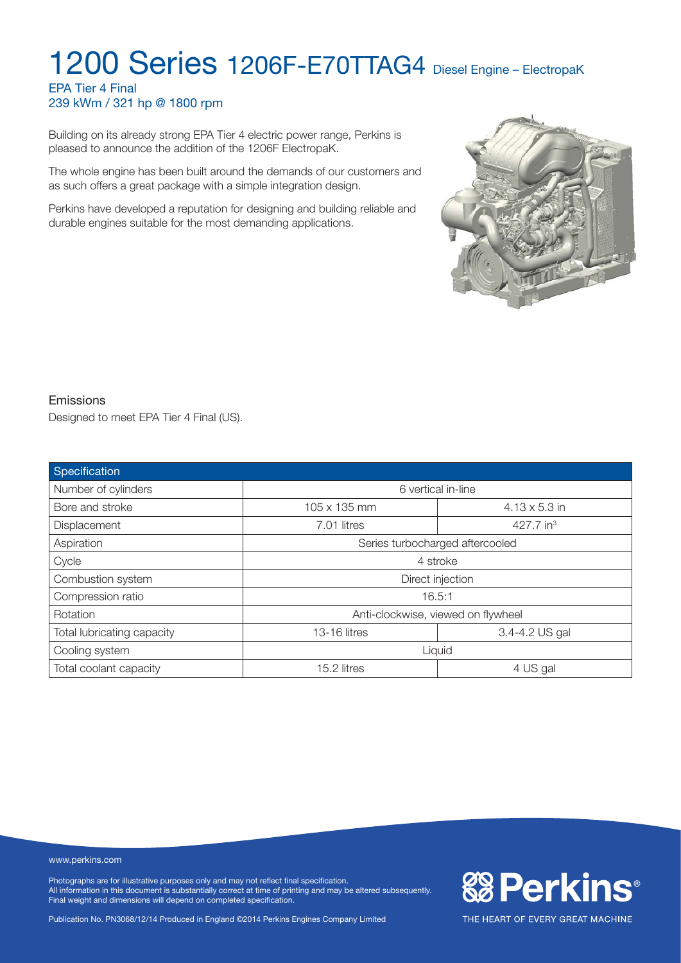#### EPA Tier 4 Final 239 kWm / 321 hp @ 1800 rpm

Building on its already strong EPA Tier 4 electric power range, Perkins is pleased to announce the addition of the 1206F ElectropaK.

The whole engine has been built around the demands of our customers and as such offers a great package with a simple integration design.

Perkins have developed a reputation for designing and building reliable and durable engines suitable for the most demanding applications.



**&BPerkins®** 

THE HEART OF EVERY GREAT MACHINE

#### Emissions

Designed to meet EPA Tier 4 Final (US).

| Specification              |                                    |                       |  |
|----------------------------|------------------------------------|-----------------------|--|
| Number of cylinders        | 6 vertical in-line                 |                       |  |
| Bore and stroke            | 105 x 135 mm                       | $4.13 \times 5.3$ in  |  |
| Displacement               | 7.01 litres                        | 427.7 in <sup>3</sup> |  |
| Aspiration                 | Series turbocharged aftercooled    |                       |  |
| Cycle                      | 4 stroke                           |                       |  |
| Combustion system          | Direct injection                   |                       |  |
| Compression ratio          | 16.5:1                             |                       |  |
| <b>Rotation</b>            | Anti-clockwise, viewed on flywheel |                       |  |
| Total lubricating capacity | 3.4-4.2 US gal<br>13-16 litres     |                       |  |
| Cooling system             | Liquid                             |                       |  |
| Total coolant capacity     | 4 US gal<br>15.2 litres            |                       |  |

#### www.perkins.com

Photographs are for illustrative purposes only and may not reflect final specification. All information in this document is substantially correct at time of printing and may be altered subsequently. Final weight and dimensions will depend on completed specification.

Publication No. PN3068/12/14 Produced in England ©2014 Perkins Engines Company Limited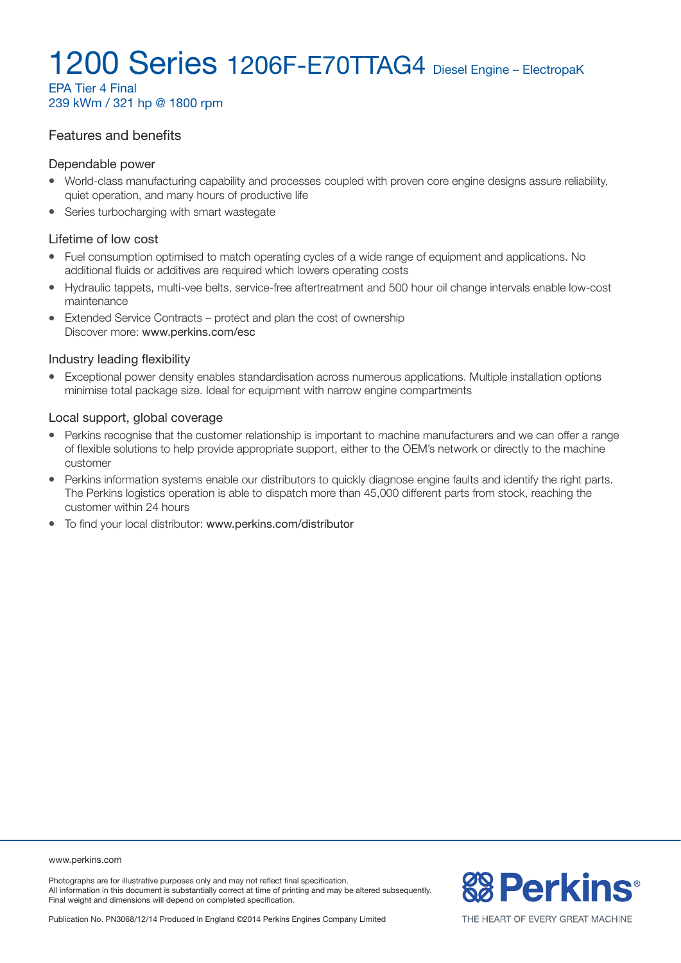EPA Tier 4 Final 239 kWm / 321 hp @ 1800 rpm

#### Features and benefits

#### Dependable power

- World-class manufacturing capability and processes coupled with proven core engine designs assure reliability, quiet operation, and many hours of productive life
- Series turbocharging with smart wastegate

#### Lifetime of low cost

- Fuel consumption optimised to match operating cycles of a wide range of equipment and applications. No additional fluids or additives are required which lowers operating costs
- Hydraulic tappets, multi-vee belts, service-free aftertreatment and 500 hour oil change intervals enable low-cost maintenance
- Extended Service Contracts protect and plan the cost of ownership Discover more: www.perkins.com/esc

#### Industry leading flexibility

• Exceptional power density enables standardisation across numerous applications. Multiple installation options minimise total package size. Ideal for equipment with narrow engine compartments

#### Local support, global coverage

- Perkins recognise that the customer relationship is important to machine manufacturers and we can offer a range of flexible solutions to help provide appropriate support, either to the OEM's network or directly to the machine customer
- Perkins information systems enable our distributors to quickly diagnose engine faults and identify the right parts. The Perkins logistics operation is able to dispatch more than 45,000 different parts from stock, reaching the customer within 24 hours
- To find your local distributor: www.perkins.com/distributor

www.perkins.com

Photographs are for illustrative purposes only and may not reflect final specification. All information in this document is substantially correct at time of printing and may be altered subsequently. Final weight and dimensions will depend on completed specification.

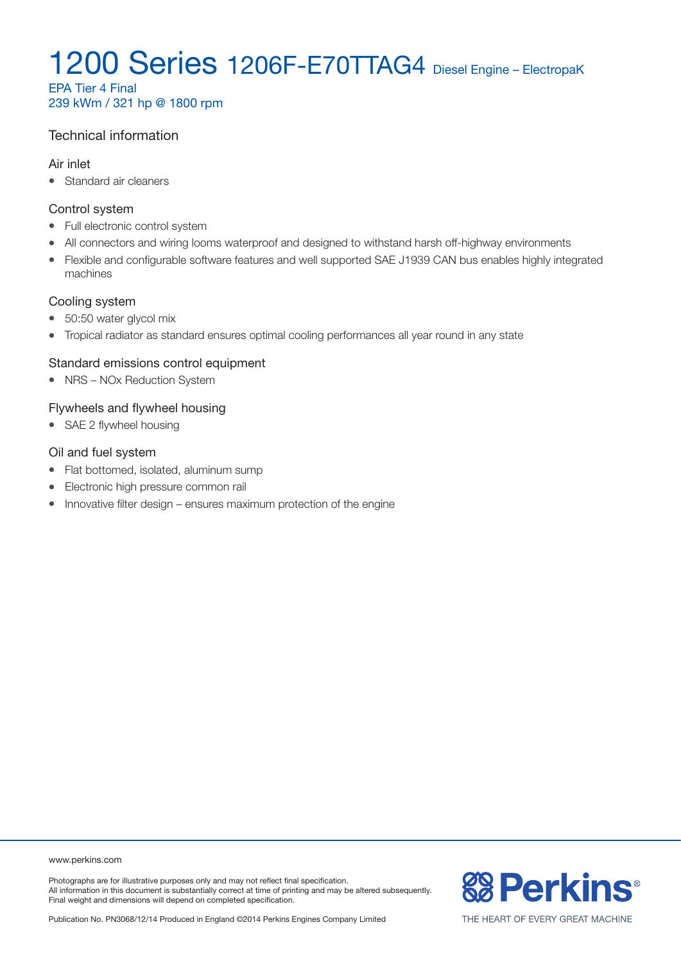EPA Tier 4 Final 239 kWm / 321 hp @ 1800 rpm

#### Technical information

#### Air inlet

• Standard air cleaners

#### Control system

- Full electronic control system
- All connectors and wiring looms waterproof and designed to withstand harsh off-highway environments
- Flexible and configurable software features and well supported SAE J1939 CAN bus enables highly integrated machines

#### Cooling system

- 50:50 water glycol mix
- Tropical radiator as standard ensures optimal cooling performances all year round in any state

#### Standard emissions control equipment

• NRS – NOx Reduction System

#### Flywheels and flywheel housing

• SAE 2 flywheel housing

#### Oil and fuel system

- Flat bottomed, isolated, aluminum sump
- Electronic high pressure common rail
- $\bullet$  Innovative filter design ensures maximum protection of the engine

www.perkins.com

Photographs are for illustrative purposes only and may not reflect final specification. All information in this document is substantially correct at time of printing and may be altered subsequently. Final weight and dimensions will depend on completed specification.

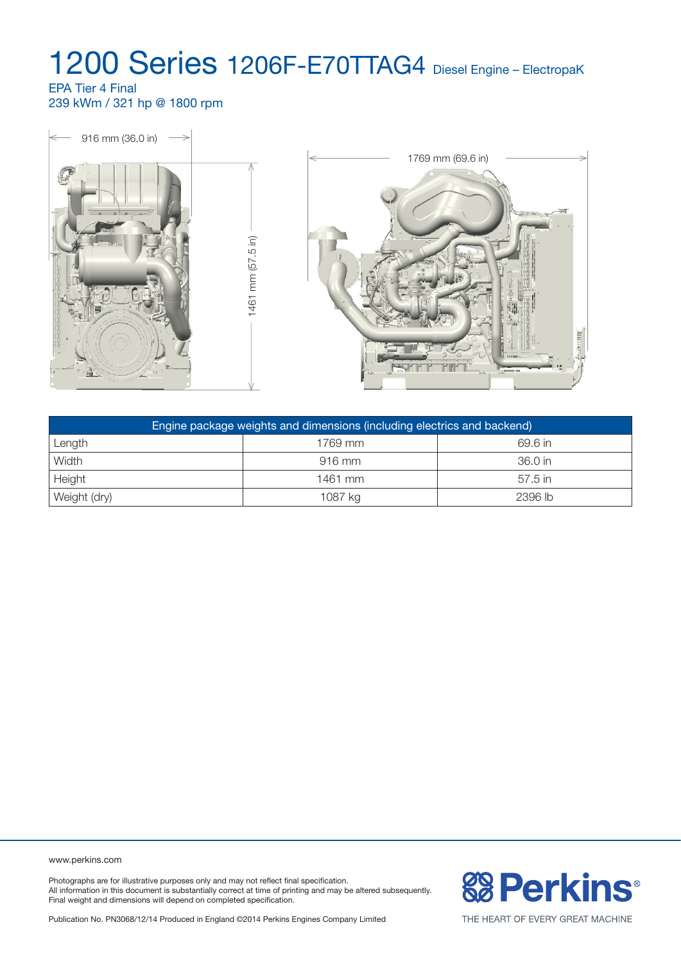#### EPA Tier 4 Final 239 kWm / 321 hp @ 1800 rpm



| Engine package weights and dimensions (including electrics and backend) |          |           |  |
|-------------------------------------------------------------------------|----------|-----------|--|
| Length                                                                  | 1769 mm  | 69.6 in   |  |
| Width                                                                   | $916$ mm | 36.0 in   |  |
| Height                                                                  | 1461 mm  | $57.5$ in |  |
| Weight (dry)                                                            | 1087 kg  | 2396 lb   |  |

www.perkins.com

Photographs are for illustrative purposes only and may not reflect final specification. All information in this document is substantially correct at time of printing and may be altered subsequently. Final weight and dimensions will depend on completed specification.



Publication No. PN3068/12/14 Produced in England ©2014 Perkins Engines Company Limited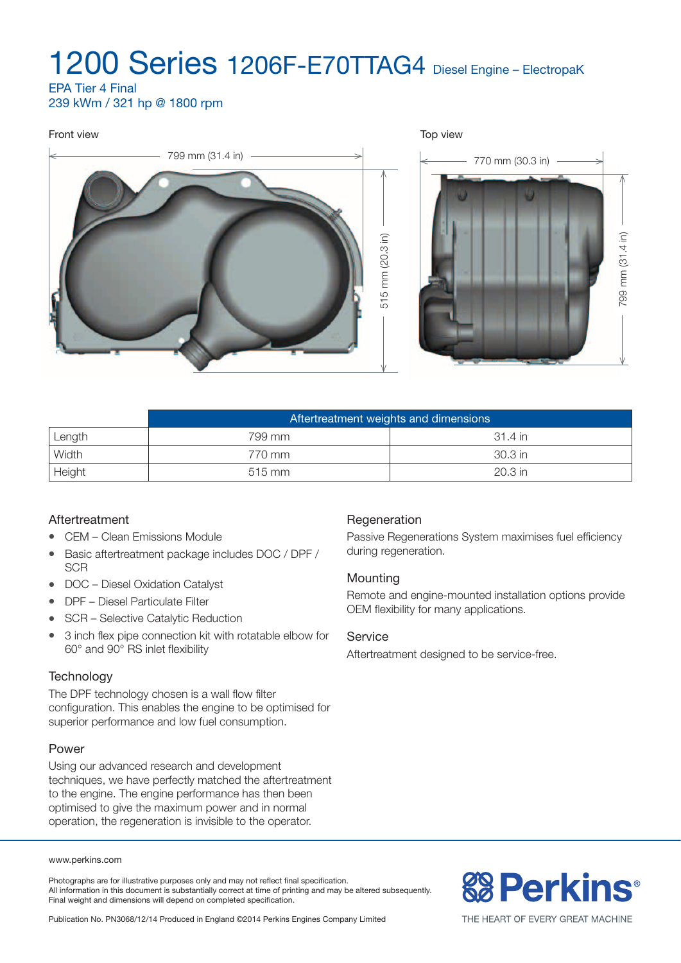EPA Tier 4 Final 239 kWm / 321 hp @ 1800 rpm

## Front view Top view 799 mm (31.4 in)  $\longrightarrow$   $\longrightarrow$  770 mm (30.3 in) 799 mm (31.4 in) 515 mm (20.3 in) 799 mm (31.4 in) 515 mm (20.3 in)

|        | Aftertreatment weights and dimensions |          |  |
|--------|---------------------------------------|----------|--|
| Length | 799 mm                                | -31.4 in |  |
| Width  | 770 mm                                | 30.3 in  |  |
| Height | $515$ mm                              | 20.3 in  |  |

#### Aftertreatment

- CEM Clean Emissions Module
- Basic aftertreatment package includes DOC / DPF / **SCR**
- $\bullet$  DOC Diesel Oxidation Catalyst
- DPF Diesel Particulate Filter
- SCR Selective Catalytic Reduction
- 3 inch flex pipe connection kit with rotatable elbow for 60° and 90° RS inlet flexibility

#### **Technology**

The DPF technology chosen is a wall flow filter configuration. This enables the engine to be optimised for superior performance and low fuel consumption.

#### Power

Using our advanced research and development techniques, we have perfectly matched the aftertreatment to the engine. The engine performance has then been optimised to give the maximum power and in normal operation, the regeneration is invisible to the operator.

#### www.perkins.com

Photographs are for illustrative purposes only and may not reflect final specification. All information in this document is substantially correct at time of printing and may be altered subsequently. Final weight and dimensions will depend on completed specification.

### Regeneration

Passive Regenerations System maximises fuel efficiency during regeneration.

#### **Mounting**

Remote and engine-mounted installation options provide OEM flexibility for many applications.

#### **Service**

Aftertreatment designed to be service-free.

# **& Perkins®**

Publication No. PN3068/12/14 Produced in England ©2014 Perkins Engines Company Limited